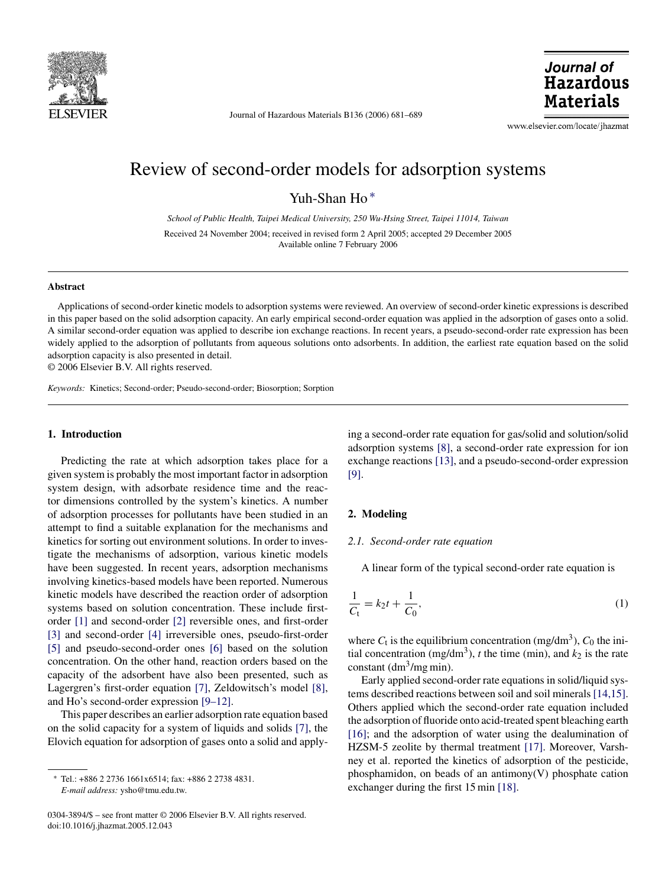

Journal of Hazardous Materials B136 (2006) 681–689

www.elsevier.com/locate/jhazmat

Journal of **Hazardous Materials** 

# Review of second-order models for adsorption systems

Yuh-Shan Ho ∗

*School of Public Health, Taipei Medical University, 250 Wu-Hsing Street, Taipei 11014, Taiwan* Received 24 November 2004; received in revised form 2 April 2005; accepted 29 December 2005 Available online 7 February 2006

#### **Abstract**

Applications of second-order kinetic models to adsorption systems were reviewed. An overview of second-order kinetic expressions is described in this paper based on the solid adsorption capacity. An early empirical second-order equation was applied in the adsorption of gases onto a solid. A similar second-order equation was applied to describe ion exchange reactions. In recent years, a pseudo-second-order rate expression has been widely applied to the adsorption of pollutants from aqueous solutions onto adsorbents. In addition, the earliest rate equation based on the solid adsorption capacity is also presented in detail.

© 2006 Elsevier B.V. All rights reserved.

*Keywords:* Kinetics; Second-order; Pseudo-second-order; Biosorption; Sorption

## **1. Introduction**

Predicting the rate at which adsorption takes place for a given system is probably the most important factor in adsorption system design, with adsorbate residence time and the reactor dimensions controlled by the system's kinetics. A number of adsorption processes for pollutants have been studied in an attempt to find a suitable explanation for the mechanisms and kinetics for sorting out environment solutions. In order to investigate the mechanisms of adsorption, various kinetic models have been suggested. In recent years, adsorption mechanisms involving kinetics-based models have been reported. Numerous kinetic models have described the reaction order of adsorption systems based on solution concentration. These include firstorder [\[1\]](#page-5-0) and second-order [\[2\]](#page-5-0) reversible ones, and first-order [\[3\]](#page-5-0) and second-order [\[4\]](#page-5-0) irreversible ones, pseudo-first-order [\[5\]](#page-5-0) and pseudo-second-order ones [\[6\]](#page-5-0) based on the solution concentration. On the other hand, reaction orders based on the capacity of the adsorbent have also been presented, such as Lagergren's first-order equation [\[7\],](#page-5-0) Zeldowitsch's model [\[8\],](#page-5-0) and Ho's second-order expression [\[9–12\].](#page-5-0)

This paper describes an earlier adsorption rate equation based on the solid capacity for a system of liquids and solids [\[7\],](#page-5-0) the Elovich equation for adsorption of gases onto a solid and apply-

0304-3894/\$ – see front matter © 2006 Elsevier B.V. All rights reserved. doi:10.1016/j.jhazmat.2005.12.043

ing a second-order rate equation for gas/solid and solution/solid adsorption systems [\[8\],](#page-5-0) a second-order rate expression for ion exchange reactions [\[13\],](#page-5-0) and a pseudo-second-order expression [\[9\].](#page-5-0)

## **2. Modeling**

# *2.1. Second-order rate equation*

A linear form of the typical second-order rate equation is

$$
\frac{1}{C_{t}} = k_{2}t + \frac{1}{C_{0}},
$$
\n(1)

where  $C_t$  is the equilibrium concentration (mg/dm<sup>3</sup>),  $C_0$  the initial concentration (mg/dm<sup>3</sup>), *t* the time (min), and  $k_2$  is the rate constant  $\left(\frac{dm^3}{mg}\right)$ .

Early applied second-order rate equations in solid/liquid systems described reactions between soil and soil minerals [\[14,15\].](#page-5-0) Others applied which the second-order rate equation included the adsorption of fluoride onto acid-treated spent bleaching earth [\[16\];](#page-5-0) and the adsorption of water using the dealumination of HZSM-5 zeolite by thermal treatment [\[17\].](#page-5-0) Moreover, Varshney et al. reported the kinetics of adsorption of the pesticide, phosphamidon, on beads of an antimony(V) phosphate cation exchanger during the first 15 min [\[18\].](#page-5-0)

Tel.: +886 2 2736 1661x6514; fax: +886 2 2738 4831. *E-mail address:* ysho@tmu.edu.tw.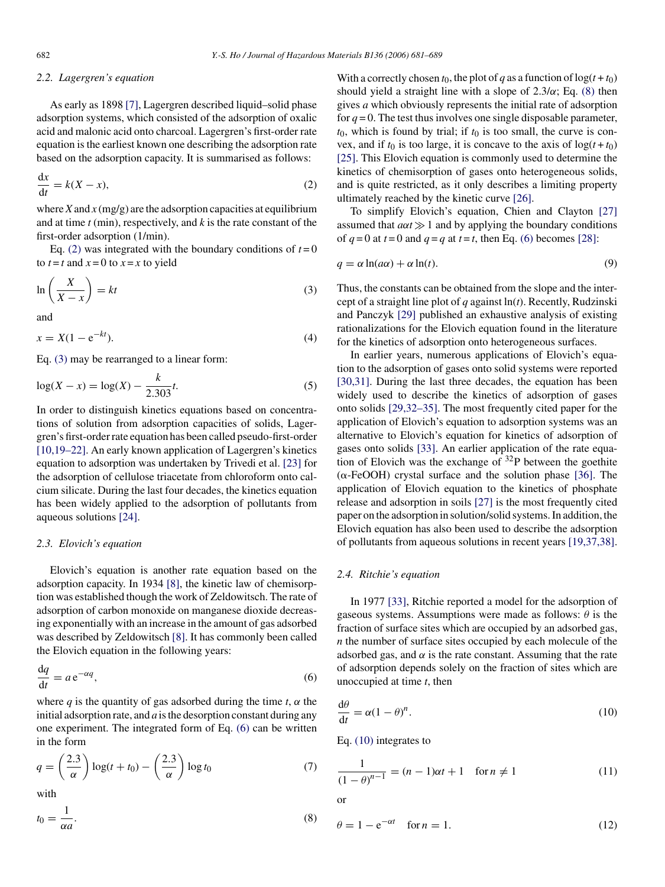#### <span id="page-1-0"></span>*2.2. Lagergren's equation*

As early as 1898 [\[7\], L](#page-5-0)agergren described liquid–solid phase adsorption systems, which consisted of the adsorption of oxalic acid and malonic acid onto charcoal. Lagergren's first-order rate equation is the earliest known one describing the adsorption rate based on the adsorption capacity. It is summarised as follows:

$$
\frac{\mathrm{d}x}{\mathrm{d}t} = k(X - x),\tag{2}
$$

where  $X$  and  $x$  (mg/g) are the adsorption capacities at equilibrium and at time *t* (min), respectively, and *k* is the rate constant of the first-order adsorption (1/min).

Eq. (2) was integrated with the boundary conditions of  $t = 0$ to  $t = t$  and  $x = 0$  to  $x = x$  to yield

$$
\ln\left(\frac{X}{X-x}\right) = kt \tag{3}
$$

and

 $x = X(1 - e^{-kt}).$  (4)

Eq. (3) may be rearranged to a linear form:

$$
\log(X - x) = \log(X) - \frac{k}{2.303}t.
$$
 (5)

In order to distinguish kinetics equations based on concentrations of solution from adsorption capacities of solids, Lagergren's first-order rate equation has been called pseudo-first-order [\[10,19–22\]. A](#page-5-0)n early known application of Lagergren's kinetics equation to adsorption was undertaken by Trivedi et al. [\[23\]](#page-5-0) for the adsorption of cellulose triacetate from chloroform onto calcium silicate. During the last four decades, the kinetics equation has been widely applied to the adsorption of pollutants from aqueous solutions [\[24\].](#page-5-0)

## *2.3. Elovich's equation*

Elovich's equation is another rate equation based on the adsorption capacity. In 1934 [\[8\],](#page-5-0) the kinetic law of chemisorption was established though the work of Zeldowitsch. The rate of adsorption of carbon monoxide on manganese dioxide decreasing exponentially with an increase in the amount of gas adsorbed was described by Zeldowitsch [\[8\]. I](#page-5-0)t has commonly been called the Elovich equation in the following years:

$$
\frac{dq}{dt} = a e^{-\alpha q},\tag{6}
$$

where *q* is the quantity of gas adsorbed during the time  $t$ ,  $\alpha$  the initial adsorption rate, and *a* is the desorption constant during any one experiment. The integrated form of Eq. (6) can be written in the form

$$
q = \left(\frac{2.3}{\alpha}\right) \log(t + t_0) - \left(\frac{2.3}{\alpha}\right) \log t_0 \tag{7}
$$

with

$$
t_0 = \frac{1}{\alpha a}.\tag{8}
$$

With a correctly chosen  $t_0$ , the plot of *q* as a function of  $\log(t + t_0)$ should yield a straight line with a slope of  $2.3/\alpha$ ; Eq. (8) then gives *a* which obviously represents the initial rate of adsorption for  $q = 0$ . The test thus involves one single disposable parameter,  $t_0$ , which is found by trial; if  $t_0$  is too small, the curve is convex, and if  $t_0$  is too large, it is concave to the axis of  $log(t + t_0)$ [\[25\].](#page-5-0) This Elovich equation is commonly used to determine the kinetics of chemisorption of gases onto heterogeneous solids, and is quite restricted, as it only describes a limiting property ultimately reached by the kinetic curve [\[26\].](#page-5-0)

To simplify Elovich's equation, Chien and Clayton [\[27\]](#page-5-0) assumed that  $a\alpha t \gg 1$  and by applying the boundary conditions of  $q = 0$  at  $t = 0$  and  $q = q$  at  $t = t$ , then Eq. (6) becomes [\[28\]:](#page-5-0)

$$
q = \alpha \ln(a\alpha) + \alpha \ln(t). \tag{9}
$$

Thus, the constants can be obtained from the slope and the intercept of a straight line plot of *q* against ln(*t*). Recently, Rudzinski and Panczyk [\[29\]](#page-5-0) published an exhaustive analysis of existing rationalizations for the Elovich equation found in the literature for the kinetics of adsorption onto heterogeneous surfaces.

In earlier years, numerous applications of Elovich's equation to the adsorption of gases onto solid systems were reported [\[30,31\].](#page-5-0) During the last three decades, the equation has been widely used to describe the kinetics of adsorption of gases onto solids [\[29,32–35\]. T](#page-5-0)he most frequently cited paper for the application of Elovich's equation to adsorption systems was an alternative to Elovich's equation for kinetics of adsorption of gases onto solids [\[33\].](#page-5-0) An earlier application of the rate equation of Elovich was the exchange of  $32P$  between the goethite  $(\alpha$ -FeOOH) crystal surface and the solution phase [\[36\].](#page-5-0) The application of Elovich equation to the kinetics of phosphate release and adsorption in soils [\[27\]](#page-5-0) is the most frequently cited paper on the adsorption in solution/solid systems. In addition, the Elovich equation has also been used to describe the adsorption of pollutants from aqueous solutions in recent years [\[19,37,38\].](#page-5-0)

#### *2.4. Ritchie's equation*

In 1977 [\[33\], R](#page-5-0)itchie reported a model for the adsorption of gaseous systems. Assumptions were made as follows:  $\theta$  is the fraction of surface sites which are occupied by an adsorbed gas, *n* the number of surface sites occupied by each molecule of the adsorbed gas, and  $\alpha$  is the rate constant. Assuming that the rate of adsorption depends solely on the fraction of sites which are unoccupied at time *t*, then

$$
\frac{d\theta}{dt} = \alpha (1 - \theta)^n.
$$
 (10)

Eq. (10) integrates to

$$
\frac{1}{(1-\theta)^{n-1}} = (n-1)\alpha t + 1 \quad \text{for } n \neq 1
$$
 (11)

or

$$
\theta = 1 - e^{-\alpha t} \quad \text{for } n = 1.
$$
 (12)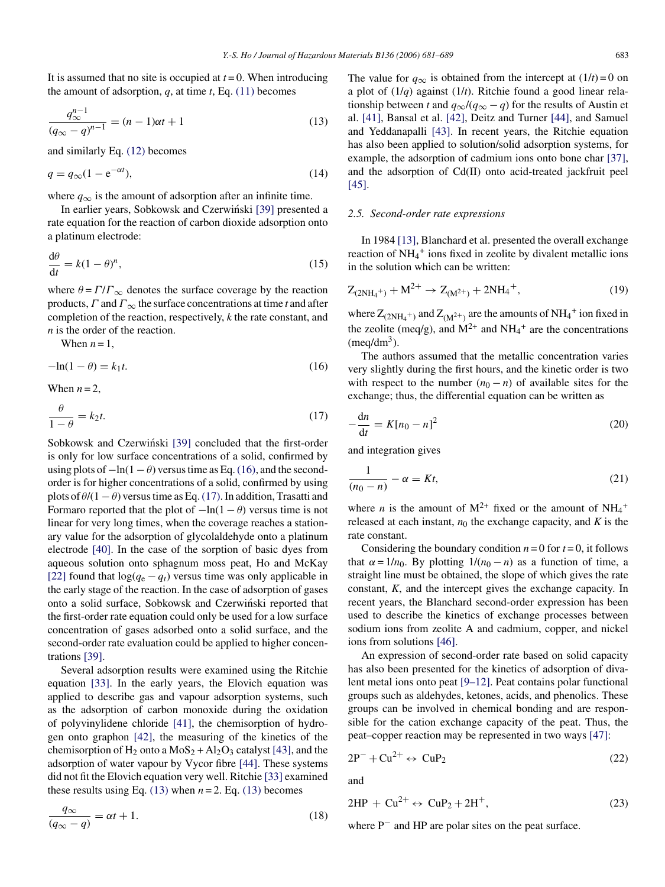It is assumed that no site is occupied at  $t = 0$ . When introducing the amount of adsorption, *q*, at time *t*, Eq. [\(11\)](#page-1-0) becomes

$$
\frac{q_{\infty}^{n-1}}{(q_{\infty} - q)^{n-1}} = (n - 1)\alpha t + 1
$$
\n(13)

and similarly Eq. [\(12\)](#page-1-0) becomes

$$
q = q_{\infty}(1 - e^{-\alpha t}),\tag{14}
$$

where  $q_{\infty}$  is the amount of adsorption after an infinite time.

In earlier years, Sobkowsk and Czerwiński [\[39\]](#page-6-0) presented a rate equation for the reaction of carbon dioxide adsorption onto a platinum electrode:

$$
\frac{d\theta}{dt} = k(1 - \theta)^n,\tag{15}
$$

where  $\theta = \Gamma / \Gamma_{\infty}$  denotes the surface coverage by the reaction products,  $\Gamma$  and  $\Gamma_{\infty}$  the surface concentrations at time *t* and after completion of the reaction, respectively, *k* the rate constant, and *n* is the order of the reaction.

When  $n = 1$ ,

$$
-\ln(1-\theta) = k_1 t. \tag{16}
$$

When  $n = 2$ ,

$$
\frac{\theta}{1-\theta} = k_2 t. \tag{17}
$$

Sobkowsk and Czerwiński [\[39\]](#page-6-0) concluded that the first-order is only for low surface concentrations of a solid, confirmed by using plots of  $-\ln(1-\theta)$  versus time as Eq. (16), and the secondorder is for higher concentrations of a solid, confirmed by using plots of  $\theta/(1 - \theta)$  versus time as Eq. (17). In addition, Trasatti and Formaro reported that the plot of  $-\ln(1 - \theta)$  versus time is not linear for very long times, when the coverage reaches a stationary value for the adsorption of glycolaldehyde onto a platinum electrode [\[40\].](#page-6-0) In the case of the sorption of basic dyes from aqueous solution onto sphagnum moss peat, Ho and McKay [\[22\]](#page-5-0) found that  $log(q_e - q_t)$  versus time was only applicable in the early stage of the reaction. In the case of adsorption of gases onto a solid surface, Sobkowsk and Czerwiński reported that the first-order rate equation could only be used for a low surface concentration of gases adsorbed onto a solid surface, and the second-order rate evaluation could be applied to higher concentrations [\[39\].](#page-6-0)

Several adsorption results were examined using the Ritchie equation [\[33\].](#page-5-0) In the early years, the Elovich equation was applied to describe gas and vapour adsorption systems, such as the adsorption of carbon monoxide during the oxidation of polyvinylidene chloride [\[41\],](#page-6-0) the chemisorption of hydrogen onto graphon [\[42\],](#page-6-0) the measuring of the kinetics of the chemisorption of H<sub>2</sub> onto a MoS<sub>2</sub> + Al<sub>2</sub>O<sub>3</sub> catalyst [\[43\], a](#page-6-0)nd the adsorption of water vapour by Vycor fibre [\[44\]. T](#page-6-0)hese systems did not fit the Elovich equation very well. Ritchie [\[33\]](#page-5-0) examined these results using Eq. (13) when  $n = 2$ . Eq. (13) becomes

$$
\frac{q_{\infty}}{(q_{\infty}-q)} = \alpha t + 1.
$$
 (18)

The value for  $q_{\infty}$  is obtained from the intercept at  $(1/t) = 0$  on a plot of (1/*q*) against (1/*t*). Ritchie found a good linear relationship between *t* and  $q_{\infty}/(q_{\infty} - q)$  for the results of Austin et al. [\[41\],](#page-6-0) Bansal et al. [\[42\],](#page-6-0) Deitz and Turner [\[44\],](#page-6-0) and Samuel and Yeddanapalli [\[43\].](#page-6-0) In recent years, the Ritchie equation has also been applied to solution/solid adsorption systems, for example, the adsorption of cadmium ions onto bone char [\[37\],](#page-6-0) and the adsorption of Cd(II) onto acid-treated jackfruit peel [\[45\].](#page-6-0)

## *2.5. Second-order rate expressions*

In 1984 [\[13\], B](#page-5-0)lanchard et al. presented the overall exchange reaction of NH<sub>4</sub><sup>+</sup> ions fixed in zeolite by divalent metallic ions in the solution which can be written:

$$
Z_{(2NH_4^+)} + M^{2+} \to Z_{(M^{2+})} + 2NH_4^+, \tag{19}
$$

where  $Z_{(2NH_4^+)}$  and  $Z_{(M^{2+})}$  are the amounts of NH<sub>4</sub><sup>+</sup> ion fixed in the zeolite (meq/g), and  $M^{2+}$  and  $NH_4^+$  are the concentrations  $(mea/dm<sup>3</sup>)$ .

The authors assumed that the metallic concentration varies very slightly during the first hours, and the kinetic order is two with respect to the number  $(n_0 - n)$  of available sites for the exchange; thus, the differential equation can be written as

$$
-\frac{\mathrm{d}n}{\mathrm{d}t} = K[n_0 - n]^2 \tag{20}
$$

and integration gives

$$
\frac{1}{(n_0 - n)} - \alpha = Kt,\tag{21}
$$

where *n* is the amount of  $M^{2+}$  fixed or the amount of  $NH_4^+$ released at each instant,  $n_0$  the exchange capacity, and  $K$  is the rate constant.

Considering the boundary condition  $n = 0$  for  $t = 0$ , it follows that  $\alpha = 1/n_0$ . By plotting  $1/(n_0 - n)$  as a function of time, a straight line must be obtained, the slope of which gives the rate constant, *K*, and the intercept gives the exchange capacity. In recent years, the Blanchard second-order expression has been used to describe the kinetics of exchange processes between sodium ions from zeolite A and cadmium, copper, and nickel ions from solutions [\[46\].](#page-6-0)

An expression of second-order rate based on solid capacity has also been presented for the kinetics of adsorption of divalent metal ions onto peat [\[9–12\]. P](#page-5-0)eat contains polar functional groups such as aldehydes, ketones, acids, and phenolics. These groups can be involved in chemical bonding and are responsible for the cation exchange capacity of the peat. Thus, the peat–copper reaction may be represented in two ways [\[47\]:](#page-6-0)

$$
2P^{-} + Cu^{2+} \leftrightarrow CuP_2 \tag{22}
$$

and

$$
2HP + Cu^{2+} \leftrightarrow CuP_2 + 2H^+, \tag{23}
$$

where P− and HP are polar sites on the peat surface.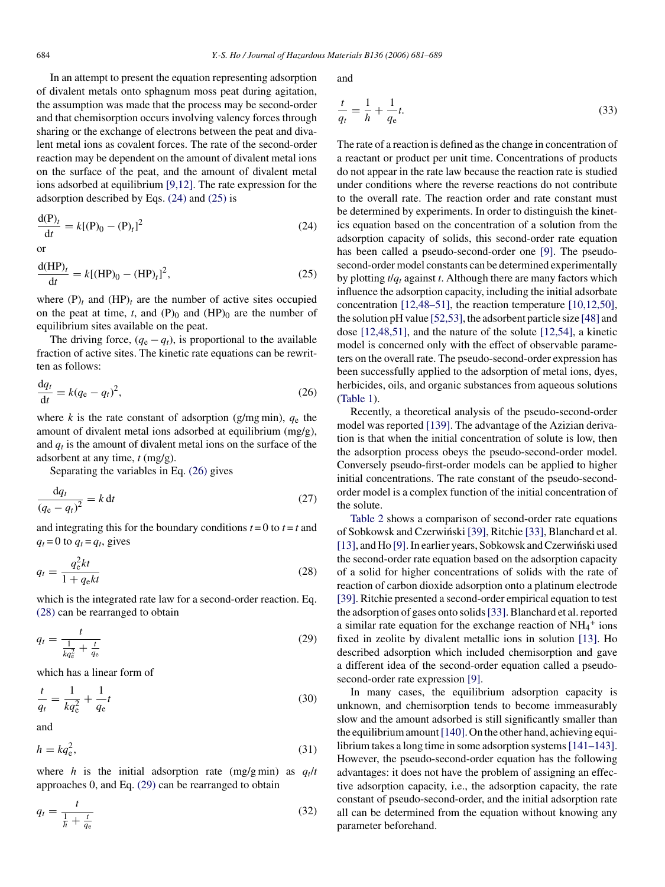In an attempt to present the equation representing adsorption of divalent metals onto sphagnum moss peat during agitation, the assumption was made that the process may be second-order and that chemisorption occurs involving valency forces through sharing or the exchange of electrons between the peat and divalent metal ions as covalent forces. The rate of the second-order reaction may be dependent on the amount of divalent metal ions on the surface of the peat, and the amount of divalent metal ions adsorbed at equilibrium [\[9,12\]. T](#page-5-0)he rate expression for the adsorption described by Eqs. (24) and (25) is

$$
\frac{d(P)_t}{dt} = k[(P)_0 - (P)_t]^2
$$
\n(24)

or

$$
\frac{d(HP)_t}{dt} = k[(HP)_0 - (HP)_t]^2,
$$
\n(25)

where  $(P)_t$  and  $(HP)_t$  are the number of active sites occupied on the peat at time,  $t$ , and  $(P)_0$  and  $(HP)_0$  are the number of equilibrium sites available on the peat.

The driving force,  $(q_e - q_t)$ , is proportional to the available fraction of active sites. The kinetic rate equations can be rewritten as follows:

$$
\frac{\mathrm{d}q_t}{\mathrm{d}t} = k(q_e - q_t)^2,\tag{26}
$$

where *k* is the rate constant of adsorption (g/mg min),  $q_e$  the amount of divalent metal ions adsorbed at equilibrium (mg/g), and  $q_t$  is the amount of divalent metal ions on the surface of the adsorbent at any time, *t* (mg/g).

Separating the variables in Eq. (26) gives

$$
\frac{\mathrm{d}q_t}{(q_e - q_t)^2} = k \,\mathrm{d}t\tag{27}
$$

and integrating this for the boundary conditions  $t = 0$  to  $t = t$  and  $q_t = 0$  to  $q_t = q_t$ , gives

$$
q_t = \frac{q_e^2 kt}{1 + q_e kt} \tag{28}
$$

which is the integrated rate law for a second-order reaction. Eq. (28) can be rearranged to obtain

$$
q_t = \frac{t}{\frac{1}{kq_e^2} + \frac{t}{q_e}}\tag{29}
$$

which has a linear form of

$$
\frac{t}{q_t} = \frac{1}{kq_e^2} + \frac{1}{q_e}t\tag{30}
$$

and

$$
h = kq_e^2,\tag{31}
$$

where *h* is the initial adsorption rate (mg/g min) as  $q_t/t$ approaches 0, and Eq. (29) can be rearranged to obtain

$$
q_t = \frac{t}{\frac{1}{h} + \frac{t}{q_e}}\tag{32}
$$

and

$$
\frac{t}{q_t} = \frac{1}{h} + \frac{1}{q_e}t.\tag{33}
$$

The rate of a reaction is defined as the change in concentration of a reactant or product per unit time. Concentrations of products do not appear in the rate law because the reaction rate is studied under conditions where the reverse reactions do not contribute to the overall rate. The reaction order and rate constant must be determined by experiments. In order to distinguish the kinetics equation based on the concentration of a solution from the adsorption capacity of solids, this second-order rate equation has been called a pseudo-second-order one [\[9\].](#page-5-0) The pseudosecond-order model constants can be determined experimentally by plotting *t*/*qt* against *t*. Although there are many factors which influence the adsorption capacity, including the initial adsorbate concentration [\[12,48–51\],](#page-5-0) the reaction temperature [\[10,12,50\],](#page-5-0) the solution pH value [\[52,53\], t](#page-6-0)he adsorbent particle size [\[48\]](#page-6-0) and dose [\[12,48,51\],](#page-5-0) and the nature of the solute [\[12,54\],](#page-5-0) a kinetic model is concerned only with the effect of observable parameters on the overall rate. The pseudo-second-order expression has been successfully applied to the adsorption of metal ions, dyes, herbicides, oils, and organic substances from aqueous solutions [\(Table 1\).](#page-4-0)

Recently, a theoretical analysis of the pseudo-second-order model was reported [\[139\]. T](#page-8-0)he advantage of the Azizian derivation is that when the initial concentration of solute is low, then the adsorption process obeys the pseudo-second-order model. Conversely pseudo-first-order models can be applied to higher initial concentrations. The rate constant of the pseudo-secondorder model is a complex function of the initial concentration of the solute.

[Table 2](#page-5-0) shows a comparison of second-order rate equations of Sobkowsk and Czerwiński [\[39\], R](#page-6-0)itchie [\[33\], B](#page-5-0)lanchard et al. [\[13\], a](#page-5-0)nd Ho [\[9\]. I](#page-5-0)n earlier years, Sobkowsk and Czerwiński used the second-order rate equation based on the adsorption capacity of a solid for higher concentrations of solids with the rate of reaction of carbon dioxide adsorption onto a platinum electrode [\[39\]. R](#page-6-0)itchie presented a second-order empirical equation to test the adsorption of gases onto solids[\[33\]. B](#page-5-0)lanchard et al. reported a similar rate equation for the exchange reaction of  $NH_4^+$  ions fixed in zeolite by divalent metallic ions in solution [\[13\].](#page-5-0) Ho described adsorption which included chemisorption and gave a different idea of the second-order equation called a pseudosecond-order rate expression [\[9\].](#page-5-0)

In many cases, the equilibrium adsorption capacity is unknown, and chemisorption tends to become immeasurably slow and the amount adsorbed is still significantly smaller than the equilibrium amount  $[140]$ . On the other hand, achieving equi-librium takes a long time in some adsorption systems [\[141–143\].](#page-8-0) However, the pseudo-second-order equation has the following advantages: it does not have the problem of assigning an effective adsorption capacity, i.e., the adsorption capacity, the rate constant of pseudo-second-order, and the initial adsorption rate all can be determined from the equation without knowing any parameter beforehand.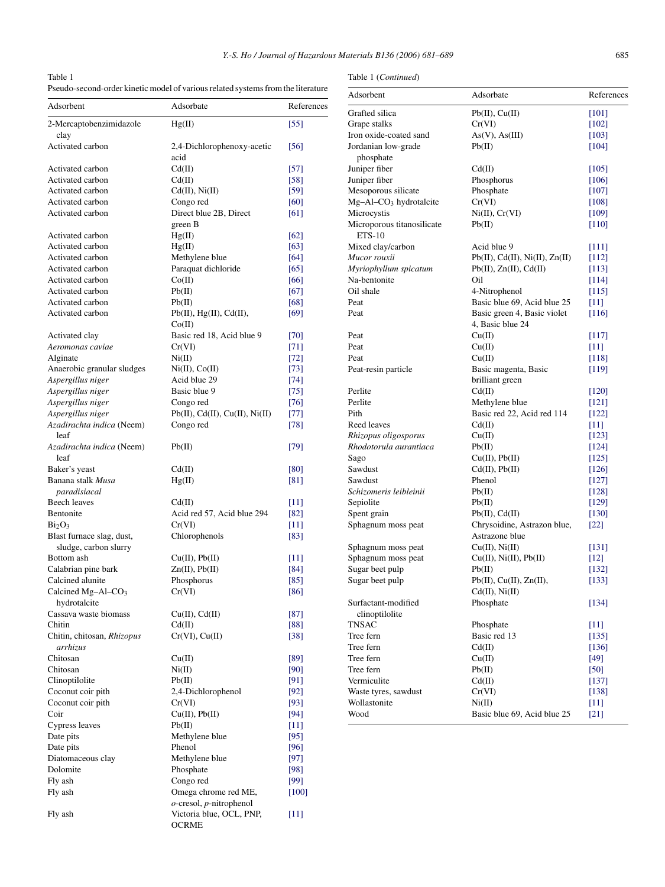<span id="page-4-0"></span>

| Table 1                                                                          |
|----------------------------------------------------------------------------------|
| Pseudo-second-order kinetic model of various related systems from the literature |

# Table 1 (*Continued*)

| Adsorbent<br>Adsorbate<br>2-Mercaptobenzimidazole<br>Hg(II)<br>$[55]$<br>clay<br>Activated carbon<br>2,4-Dichlorophenoxy-acetic<br>$[56]$<br>acid<br>Cd(II)<br>Activated carbon<br>$[57]$<br>Activated carbon<br>Cd(II)<br>[58]<br>Activated carbon<br>Cd(II), Ni(II)<br>$[59]$<br>Congo red<br>Activated carbon<br>[60]<br>Activated carbon<br>Direct blue 2B, Direct<br>[61]<br>green B<br>Hg(II)<br>[62]<br>Activated carbon<br>Activated carbon<br>Hg(II)<br>[63]<br>Methylene blue<br>Activated carbon<br>[64]<br>Paraquat dichloride<br>Activated carbon<br>[65]<br>Activated carbon<br>Co(II)<br>[66]<br>Activated carbon<br>Pb(II)<br>[67]<br>Activated carbon<br>Pb(II)<br>[68]<br>Activated carbon<br>$Pb(II)$ , Hg $(II)$ , Cd $(II)$ ,<br>[69]<br>Co(II)<br>Basic red 18, Acid blue 9<br>Activated clay<br>[70]<br>Aeromonas caviae<br>Cr(VI)<br>[71]<br>Alginate<br>Ni(II)<br>$[72]$<br>Anaerobic granular sludges<br>Ni(II), Co(II)<br>$[73]$<br>Aspergillus niger<br>Acid blue 29<br>$[74]$<br>Aspergillus niger<br>Basic blue 9<br>$[75]$<br>Aspergillus niger<br>Congo red<br>$[76]$<br>Aspergillus niger<br>$Pb(II)$ , Cd(II), Cu(II), Ni(II)<br>$[77] \label{eq:77}$<br>Azadirachta indica (Neem)<br>Congo red<br>$[78]$<br>leaf<br>Azadirachta indica (Neem)<br>Pb(II)<br>[79]<br>leaf<br>Baker's yeast<br>Cd(II)<br>[80]<br>Banana stalk Musa<br>Hg(II)<br>[81]<br>paradisiacal<br><b>Beech leaves</b><br>Cd(II)<br>[11]<br>Bentonite<br>Acid red 57, Acid blue 294<br>[82]<br>Cr(VI)<br>Bi <sub>2</sub> O <sub>3</sub><br>[11]<br>Blast furnace slag, dust,<br>Chlorophenols<br>[83]<br>sludge, carbon slurry<br>Bottom ash<br>$Cu(II)$ , $Pb(II)$<br>[11]<br>Calabrian pine bark<br>$Zn(II)$ , $Pb(II)$<br>[84]<br>Calcined alunite<br>$[85]$<br>Phosphorus<br>Calcined $Mg-A1-CO_3$<br>Cr(VI)<br>$[86]$<br>hydrotalcite<br>Cassava waste biomass<br>Cu(II), Cd(II)<br>[87]<br>Chitin<br>Cd(II)<br>[88]<br>Chitin, chitosan, Rhizopus<br>Cr(VI), Cu(II)<br>$[38]$<br>arrhizus<br>Chitosan<br>Cu(II)<br>[89]<br>Ni(II)<br>Chitosan<br>[90]<br>Pb(II)<br>Clinoptilolite<br>[91]<br>Coconut coir pith<br>2,4-Dichlorophenol<br>$[92]$<br>Coconut coir pith<br>Cr(VI)<br>[93]<br>Coir<br>Cu(II), Pb(II)<br>[94]<br>Pb(II)<br>Cypress leaves<br>[11]<br>Methylene blue<br>Date pits<br>[95]<br>Date pits<br>Phenol<br>$[96]$<br>Diatomaceous clay<br>Methylene blue<br>[97]<br>Phosphate<br>Dolomite<br>[98]<br>Congo red<br>Fly ash<br>[99]<br>Omega chrome red ME,<br>Fly ash<br>$[100]$<br>$o$ -cresol, $p$ -nitrophenol<br>Victoria blue, OCL, PNP,<br>Fly ash<br>[11]<br>OCRME |  |            |  |
|-------------------------------------------------------------------------------------------------------------------------------------------------------------------------------------------------------------------------------------------------------------------------------------------------------------------------------------------------------------------------------------------------------------------------------------------------------------------------------------------------------------------------------------------------------------------------------------------------------------------------------------------------------------------------------------------------------------------------------------------------------------------------------------------------------------------------------------------------------------------------------------------------------------------------------------------------------------------------------------------------------------------------------------------------------------------------------------------------------------------------------------------------------------------------------------------------------------------------------------------------------------------------------------------------------------------------------------------------------------------------------------------------------------------------------------------------------------------------------------------------------------------------------------------------------------------------------------------------------------------------------------------------------------------------------------------------------------------------------------------------------------------------------------------------------------------------------------------------------------------------------------------------------------------------------------------------------------------------------------------------------------------------------------------------------------------------------------------------------------------------------------------------------------------------------------------------------------------------------------------------------------------------------------------------------------------------------------------------------------------------------------------------------------------------------------------------------------------------------------------------------------------------------------------------------------------------------------------------------|--|------------|--|
|                                                                                                                                                                                                                                                                                                                                                                                                                                                                                                                                                                                                                                                                                                                                                                                                                                                                                                                                                                                                                                                                                                                                                                                                                                                                                                                                                                                                                                                                                                                                                                                                                                                                                                                                                                                                                                                                                                                                                                                                                                                                                                                                                                                                                                                                                                                                                                                                                                                                                                                                                                                                       |  | References |  |
|                                                                                                                                                                                                                                                                                                                                                                                                                                                                                                                                                                                                                                                                                                                                                                                                                                                                                                                                                                                                                                                                                                                                                                                                                                                                                                                                                                                                                                                                                                                                                                                                                                                                                                                                                                                                                                                                                                                                                                                                                                                                                                                                                                                                                                                                                                                                                                                                                                                                                                                                                                                                       |  |            |  |
|                                                                                                                                                                                                                                                                                                                                                                                                                                                                                                                                                                                                                                                                                                                                                                                                                                                                                                                                                                                                                                                                                                                                                                                                                                                                                                                                                                                                                                                                                                                                                                                                                                                                                                                                                                                                                                                                                                                                                                                                                                                                                                                                                                                                                                                                                                                                                                                                                                                                                                                                                                                                       |  |            |  |
|                                                                                                                                                                                                                                                                                                                                                                                                                                                                                                                                                                                                                                                                                                                                                                                                                                                                                                                                                                                                                                                                                                                                                                                                                                                                                                                                                                                                                                                                                                                                                                                                                                                                                                                                                                                                                                                                                                                                                                                                                                                                                                                                                                                                                                                                                                                                                                                                                                                                                                                                                                                                       |  |            |  |
|                                                                                                                                                                                                                                                                                                                                                                                                                                                                                                                                                                                                                                                                                                                                                                                                                                                                                                                                                                                                                                                                                                                                                                                                                                                                                                                                                                                                                                                                                                                                                                                                                                                                                                                                                                                                                                                                                                                                                                                                                                                                                                                                                                                                                                                                                                                                                                                                                                                                                                                                                                                                       |  |            |  |
|                                                                                                                                                                                                                                                                                                                                                                                                                                                                                                                                                                                                                                                                                                                                                                                                                                                                                                                                                                                                                                                                                                                                                                                                                                                                                                                                                                                                                                                                                                                                                                                                                                                                                                                                                                                                                                                                                                                                                                                                                                                                                                                                                                                                                                                                                                                                                                                                                                                                                                                                                                                                       |  |            |  |
|                                                                                                                                                                                                                                                                                                                                                                                                                                                                                                                                                                                                                                                                                                                                                                                                                                                                                                                                                                                                                                                                                                                                                                                                                                                                                                                                                                                                                                                                                                                                                                                                                                                                                                                                                                                                                                                                                                                                                                                                                                                                                                                                                                                                                                                                                                                                                                                                                                                                                                                                                                                                       |  |            |  |
|                                                                                                                                                                                                                                                                                                                                                                                                                                                                                                                                                                                                                                                                                                                                                                                                                                                                                                                                                                                                                                                                                                                                                                                                                                                                                                                                                                                                                                                                                                                                                                                                                                                                                                                                                                                                                                                                                                                                                                                                                                                                                                                                                                                                                                                                                                                                                                                                                                                                                                                                                                                                       |  |            |  |
|                                                                                                                                                                                                                                                                                                                                                                                                                                                                                                                                                                                                                                                                                                                                                                                                                                                                                                                                                                                                                                                                                                                                                                                                                                                                                                                                                                                                                                                                                                                                                                                                                                                                                                                                                                                                                                                                                                                                                                                                                                                                                                                                                                                                                                                                                                                                                                                                                                                                                                                                                                                                       |  |            |  |
|                                                                                                                                                                                                                                                                                                                                                                                                                                                                                                                                                                                                                                                                                                                                                                                                                                                                                                                                                                                                                                                                                                                                                                                                                                                                                                                                                                                                                                                                                                                                                                                                                                                                                                                                                                                                                                                                                                                                                                                                                                                                                                                                                                                                                                                                                                                                                                                                                                                                                                                                                                                                       |  |            |  |
|                                                                                                                                                                                                                                                                                                                                                                                                                                                                                                                                                                                                                                                                                                                                                                                                                                                                                                                                                                                                                                                                                                                                                                                                                                                                                                                                                                                                                                                                                                                                                                                                                                                                                                                                                                                                                                                                                                                                                                                                                                                                                                                                                                                                                                                                                                                                                                                                                                                                                                                                                                                                       |  |            |  |
|                                                                                                                                                                                                                                                                                                                                                                                                                                                                                                                                                                                                                                                                                                                                                                                                                                                                                                                                                                                                                                                                                                                                                                                                                                                                                                                                                                                                                                                                                                                                                                                                                                                                                                                                                                                                                                                                                                                                                                                                                                                                                                                                                                                                                                                                                                                                                                                                                                                                                                                                                                                                       |  |            |  |
|                                                                                                                                                                                                                                                                                                                                                                                                                                                                                                                                                                                                                                                                                                                                                                                                                                                                                                                                                                                                                                                                                                                                                                                                                                                                                                                                                                                                                                                                                                                                                                                                                                                                                                                                                                                                                                                                                                                                                                                                                                                                                                                                                                                                                                                                                                                                                                                                                                                                                                                                                                                                       |  |            |  |
|                                                                                                                                                                                                                                                                                                                                                                                                                                                                                                                                                                                                                                                                                                                                                                                                                                                                                                                                                                                                                                                                                                                                                                                                                                                                                                                                                                                                                                                                                                                                                                                                                                                                                                                                                                                                                                                                                                                                                                                                                                                                                                                                                                                                                                                                                                                                                                                                                                                                                                                                                                                                       |  |            |  |
|                                                                                                                                                                                                                                                                                                                                                                                                                                                                                                                                                                                                                                                                                                                                                                                                                                                                                                                                                                                                                                                                                                                                                                                                                                                                                                                                                                                                                                                                                                                                                                                                                                                                                                                                                                                                                                                                                                                                                                                                                                                                                                                                                                                                                                                                                                                                                                                                                                                                                                                                                                                                       |  |            |  |
|                                                                                                                                                                                                                                                                                                                                                                                                                                                                                                                                                                                                                                                                                                                                                                                                                                                                                                                                                                                                                                                                                                                                                                                                                                                                                                                                                                                                                                                                                                                                                                                                                                                                                                                                                                                                                                                                                                                                                                                                                                                                                                                                                                                                                                                                                                                                                                                                                                                                                                                                                                                                       |  |            |  |
|                                                                                                                                                                                                                                                                                                                                                                                                                                                                                                                                                                                                                                                                                                                                                                                                                                                                                                                                                                                                                                                                                                                                                                                                                                                                                                                                                                                                                                                                                                                                                                                                                                                                                                                                                                                                                                                                                                                                                                                                                                                                                                                                                                                                                                                                                                                                                                                                                                                                                                                                                                                                       |  |            |  |
|                                                                                                                                                                                                                                                                                                                                                                                                                                                                                                                                                                                                                                                                                                                                                                                                                                                                                                                                                                                                                                                                                                                                                                                                                                                                                                                                                                                                                                                                                                                                                                                                                                                                                                                                                                                                                                                                                                                                                                                                                                                                                                                                                                                                                                                                                                                                                                                                                                                                                                                                                                                                       |  |            |  |
|                                                                                                                                                                                                                                                                                                                                                                                                                                                                                                                                                                                                                                                                                                                                                                                                                                                                                                                                                                                                                                                                                                                                                                                                                                                                                                                                                                                                                                                                                                                                                                                                                                                                                                                                                                                                                                                                                                                                                                                                                                                                                                                                                                                                                                                                                                                                                                                                                                                                                                                                                                                                       |  |            |  |
|                                                                                                                                                                                                                                                                                                                                                                                                                                                                                                                                                                                                                                                                                                                                                                                                                                                                                                                                                                                                                                                                                                                                                                                                                                                                                                                                                                                                                                                                                                                                                                                                                                                                                                                                                                                                                                                                                                                                                                                                                                                                                                                                                                                                                                                                                                                                                                                                                                                                                                                                                                                                       |  |            |  |
|                                                                                                                                                                                                                                                                                                                                                                                                                                                                                                                                                                                                                                                                                                                                                                                                                                                                                                                                                                                                                                                                                                                                                                                                                                                                                                                                                                                                                                                                                                                                                                                                                                                                                                                                                                                                                                                                                                                                                                                                                                                                                                                                                                                                                                                                                                                                                                                                                                                                                                                                                                                                       |  |            |  |
|                                                                                                                                                                                                                                                                                                                                                                                                                                                                                                                                                                                                                                                                                                                                                                                                                                                                                                                                                                                                                                                                                                                                                                                                                                                                                                                                                                                                                                                                                                                                                                                                                                                                                                                                                                                                                                                                                                                                                                                                                                                                                                                                                                                                                                                                                                                                                                                                                                                                                                                                                                                                       |  |            |  |
|                                                                                                                                                                                                                                                                                                                                                                                                                                                                                                                                                                                                                                                                                                                                                                                                                                                                                                                                                                                                                                                                                                                                                                                                                                                                                                                                                                                                                                                                                                                                                                                                                                                                                                                                                                                                                                                                                                                                                                                                                                                                                                                                                                                                                                                                                                                                                                                                                                                                                                                                                                                                       |  |            |  |
|                                                                                                                                                                                                                                                                                                                                                                                                                                                                                                                                                                                                                                                                                                                                                                                                                                                                                                                                                                                                                                                                                                                                                                                                                                                                                                                                                                                                                                                                                                                                                                                                                                                                                                                                                                                                                                                                                                                                                                                                                                                                                                                                                                                                                                                                                                                                                                                                                                                                                                                                                                                                       |  |            |  |
|                                                                                                                                                                                                                                                                                                                                                                                                                                                                                                                                                                                                                                                                                                                                                                                                                                                                                                                                                                                                                                                                                                                                                                                                                                                                                                                                                                                                                                                                                                                                                                                                                                                                                                                                                                                                                                                                                                                                                                                                                                                                                                                                                                                                                                                                                                                                                                                                                                                                                                                                                                                                       |  |            |  |
|                                                                                                                                                                                                                                                                                                                                                                                                                                                                                                                                                                                                                                                                                                                                                                                                                                                                                                                                                                                                                                                                                                                                                                                                                                                                                                                                                                                                                                                                                                                                                                                                                                                                                                                                                                                                                                                                                                                                                                                                                                                                                                                                                                                                                                                                                                                                                                                                                                                                                                                                                                                                       |  |            |  |
|                                                                                                                                                                                                                                                                                                                                                                                                                                                                                                                                                                                                                                                                                                                                                                                                                                                                                                                                                                                                                                                                                                                                                                                                                                                                                                                                                                                                                                                                                                                                                                                                                                                                                                                                                                                                                                                                                                                                                                                                                                                                                                                                                                                                                                                                                                                                                                                                                                                                                                                                                                                                       |  |            |  |
|                                                                                                                                                                                                                                                                                                                                                                                                                                                                                                                                                                                                                                                                                                                                                                                                                                                                                                                                                                                                                                                                                                                                                                                                                                                                                                                                                                                                                                                                                                                                                                                                                                                                                                                                                                                                                                                                                                                                                                                                                                                                                                                                                                                                                                                                                                                                                                                                                                                                                                                                                                                                       |  |            |  |
|                                                                                                                                                                                                                                                                                                                                                                                                                                                                                                                                                                                                                                                                                                                                                                                                                                                                                                                                                                                                                                                                                                                                                                                                                                                                                                                                                                                                                                                                                                                                                                                                                                                                                                                                                                                                                                                                                                                                                                                                                                                                                                                                                                                                                                                                                                                                                                                                                                                                                                                                                                                                       |  |            |  |
|                                                                                                                                                                                                                                                                                                                                                                                                                                                                                                                                                                                                                                                                                                                                                                                                                                                                                                                                                                                                                                                                                                                                                                                                                                                                                                                                                                                                                                                                                                                                                                                                                                                                                                                                                                                                                                                                                                                                                                                                                                                                                                                                                                                                                                                                                                                                                                                                                                                                                                                                                                                                       |  |            |  |
|                                                                                                                                                                                                                                                                                                                                                                                                                                                                                                                                                                                                                                                                                                                                                                                                                                                                                                                                                                                                                                                                                                                                                                                                                                                                                                                                                                                                                                                                                                                                                                                                                                                                                                                                                                                                                                                                                                                                                                                                                                                                                                                                                                                                                                                                                                                                                                                                                                                                                                                                                                                                       |  |            |  |
|                                                                                                                                                                                                                                                                                                                                                                                                                                                                                                                                                                                                                                                                                                                                                                                                                                                                                                                                                                                                                                                                                                                                                                                                                                                                                                                                                                                                                                                                                                                                                                                                                                                                                                                                                                                                                                                                                                                                                                                                                                                                                                                                                                                                                                                                                                                                                                                                                                                                                                                                                                                                       |  |            |  |
|                                                                                                                                                                                                                                                                                                                                                                                                                                                                                                                                                                                                                                                                                                                                                                                                                                                                                                                                                                                                                                                                                                                                                                                                                                                                                                                                                                                                                                                                                                                                                                                                                                                                                                                                                                                                                                                                                                                                                                                                                                                                                                                                                                                                                                                                                                                                                                                                                                                                                                                                                                                                       |  |            |  |
|                                                                                                                                                                                                                                                                                                                                                                                                                                                                                                                                                                                                                                                                                                                                                                                                                                                                                                                                                                                                                                                                                                                                                                                                                                                                                                                                                                                                                                                                                                                                                                                                                                                                                                                                                                                                                                                                                                                                                                                                                                                                                                                                                                                                                                                                                                                                                                                                                                                                                                                                                                                                       |  |            |  |
|                                                                                                                                                                                                                                                                                                                                                                                                                                                                                                                                                                                                                                                                                                                                                                                                                                                                                                                                                                                                                                                                                                                                                                                                                                                                                                                                                                                                                                                                                                                                                                                                                                                                                                                                                                                                                                                                                                                                                                                                                                                                                                                                                                                                                                                                                                                                                                                                                                                                                                                                                                                                       |  |            |  |
|                                                                                                                                                                                                                                                                                                                                                                                                                                                                                                                                                                                                                                                                                                                                                                                                                                                                                                                                                                                                                                                                                                                                                                                                                                                                                                                                                                                                                                                                                                                                                                                                                                                                                                                                                                                                                                                                                                                                                                                                                                                                                                                                                                                                                                                                                                                                                                                                                                                                                                                                                                                                       |  |            |  |
|                                                                                                                                                                                                                                                                                                                                                                                                                                                                                                                                                                                                                                                                                                                                                                                                                                                                                                                                                                                                                                                                                                                                                                                                                                                                                                                                                                                                                                                                                                                                                                                                                                                                                                                                                                                                                                                                                                                                                                                                                                                                                                                                                                                                                                                                                                                                                                                                                                                                                                                                                                                                       |  |            |  |
|                                                                                                                                                                                                                                                                                                                                                                                                                                                                                                                                                                                                                                                                                                                                                                                                                                                                                                                                                                                                                                                                                                                                                                                                                                                                                                                                                                                                                                                                                                                                                                                                                                                                                                                                                                                                                                                                                                                                                                                                                                                                                                                                                                                                                                                                                                                                                                                                                                                                                                                                                                                                       |  |            |  |
|                                                                                                                                                                                                                                                                                                                                                                                                                                                                                                                                                                                                                                                                                                                                                                                                                                                                                                                                                                                                                                                                                                                                                                                                                                                                                                                                                                                                                                                                                                                                                                                                                                                                                                                                                                                                                                                                                                                                                                                                                                                                                                                                                                                                                                                                                                                                                                                                                                                                                                                                                                                                       |  |            |  |
|                                                                                                                                                                                                                                                                                                                                                                                                                                                                                                                                                                                                                                                                                                                                                                                                                                                                                                                                                                                                                                                                                                                                                                                                                                                                                                                                                                                                                                                                                                                                                                                                                                                                                                                                                                                                                                                                                                                                                                                                                                                                                                                                                                                                                                                                                                                                                                                                                                                                                                                                                                                                       |  |            |  |
|                                                                                                                                                                                                                                                                                                                                                                                                                                                                                                                                                                                                                                                                                                                                                                                                                                                                                                                                                                                                                                                                                                                                                                                                                                                                                                                                                                                                                                                                                                                                                                                                                                                                                                                                                                                                                                                                                                                                                                                                                                                                                                                                                                                                                                                                                                                                                                                                                                                                                                                                                                                                       |  |            |  |
|                                                                                                                                                                                                                                                                                                                                                                                                                                                                                                                                                                                                                                                                                                                                                                                                                                                                                                                                                                                                                                                                                                                                                                                                                                                                                                                                                                                                                                                                                                                                                                                                                                                                                                                                                                                                                                                                                                                                                                                                                                                                                                                                                                                                                                                                                                                                                                                                                                                                                                                                                                                                       |  |            |  |
|                                                                                                                                                                                                                                                                                                                                                                                                                                                                                                                                                                                                                                                                                                                                                                                                                                                                                                                                                                                                                                                                                                                                                                                                                                                                                                                                                                                                                                                                                                                                                                                                                                                                                                                                                                                                                                                                                                                                                                                                                                                                                                                                                                                                                                                                                                                                                                                                                                                                                                                                                                                                       |  |            |  |
|                                                                                                                                                                                                                                                                                                                                                                                                                                                                                                                                                                                                                                                                                                                                                                                                                                                                                                                                                                                                                                                                                                                                                                                                                                                                                                                                                                                                                                                                                                                                                                                                                                                                                                                                                                                                                                                                                                                                                                                                                                                                                                                                                                                                                                                                                                                                                                                                                                                                                                                                                                                                       |  |            |  |
|                                                                                                                                                                                                                                                                                                                                                                                                                                                                                                                                                                                                                                                                                                                                                                                                                                                                                                                                                                                                                                                                                                                                                                                                                                                                                                                                                                                                                                                                                                                                                                                                                                                                                                                                                                                                                                                                                                                                                                                                                                                                                                                                                                                                                                                                                                                                                                                                                                                                                                                                                                                                       |  |            |  |
|                                                                                                                                                                                                                                                                                                                                                                                                                                                                                                                                                                                                                                                                                                                                                                                                                                                                                                                                                                                                                                                                                                                                                                                                                                                                                                                                                                                                                                                                                                                                                                                                                                                                                                                                                                                                                                                                                                                                                                                                                                                                                                                                                                                                                                                                                                                                                                                                                                                                                                                                                                                                       |  |            |  |
|                                                                                                                                                                                                                                                                                                                                                                                                                                                                                                                                                                                                                                                                                                                                                                                                                                                                                                                                                                                                                                                                                                                                                                                                                                                                                                                                                                                                                                                                                                                                                                                                                                                                                                                                                                                                                                                                                                                                                                                                                                                                                                                                                                                                                                                                                                                                                                                                                                                                                                                                                                                                       |  |            |  |
|                                                                                                                                                                                                                                                                                                                                                                                                                                                                                                                                                                                                                                                                                                                                                                                                                                                                                                                                                                                                                                                                                                                                                                                                                                                                                                                                                                                                                                                                                                                                                                                                                                                                                                                                                                                                                                                                                                                                                                                                                                                                                                                                                                                                                                                                                                                                                                                                                                                                                                                                                                                                       |  |            |  |
|                                                                                                                                                                                                                                                                                                                                                                                                                                                                                                                                                                                                                                                                                                                                                                                                                                                                                                                                                                                                                                                                                                                                                                                                                                                                                                                                                                                                                                                                                                                                                                                                                                                                                                                                                                                                                                                                                                                                                                                                                                                                                                                                                                                                                                                                                                                                                                                                                                                                                                                                                                                                       |  |            |  |
|                                                                                                                                                                                                                                                                                                                                                                                                                                                                                                                                                                                                                                                                                                                                                                                                                                                                                                                                                                                                                                                                                                                                                                                                                                                                                                                                                                                                                                                                                                                                                                                                                                                                                                                                                                                                                                                                                                                                                                                                                                                                                                                                                                                                                                                                                                                                                                                                                                                                                                                                                                                                       |  |            |  |
|                                                                                                                                                                                                                                                                                                                                                                                                                                                                                                                                                                                                                                                                                                                                                                                                                                                                                                                                                                                                                                                                                                                                                                                                                                                                                                                                                                                                                                                                                                                                                                                                                                                                                                                                                                                                                                                                                                                                                                                                                                                                                                                                                                                                                                                                                                                                                                                                                                                                                                                                                                                                       |  |            |  |
|                                                                                                                                                                                                                                                                                                                                                                                                                                                                                                                                                                                                                                                                                                                                                                                                                                                                                                                                                                                                                                                                                                                                                                                                                                                                                                                                                                                                                                                                                                                                                                                                                                                                                                                                                                                                                                                                                                                                                                                                                                                                                                                                                                                                                                                                                                                                                                                                                                                                                                                                                                                                       |  |            |  |
|                                                                                                                                                                                                                                                                                                                                                                                                                                                                                                                                                                                                                                                                                                                                                                                                                                                                                                                                                                                                                                                                                                                                                                                                                                                                                                                                                                                                                                                                                                                                                                                                                                                                                                                                                                                                                                                                                                                                                                                                                                                                                                                                                                                                                                                                                                                                                                                                                                                                                                                                                                                                       |  |            |  |
|                                                                                                                                                                                                                                                                                                                                                                                                                                                                                                                                                                                                                                                                                                                                                                                                                                                                                                                                                                                                                                                                                                                                                                                                                                                                                                                                                                                                                                                                                                                                                                                                                                                                                                                                                                                                                                                                                                                                                                                                                                                                                                                                                                                                                                                                                                                                                                                                                                                                                                                                                                                                       |  |            |  |
|                                                                                                                                                                                                                                                                                                                                                                                                                                                                                                                                                                                                                                                                                                                                                                                                                                                                                                                                                                                                                                                                                                                                                                                                                                                                                                                                                                                                                                                                                                                                                                                                                                                                                                                                                                                                                                                                                                                                                                                                                                                                                                                                                                                                                                                                                                                                                                                                                                                                                                                                                                                                       |  |            |  |
|                                                                                                                                                                                                                                                                                                                                                                                                                                                                                                                                                                                                                                                                                                                                                                                                                                                                                                                                                                                                                                                                                                                                                                                                                                                                                                                                                                                                                                                                                                                                                                                                                                                                                                                                                                                                                                                                                                                                                                                                                                                                                                                                                                                                                                                                                                                                                                                                                                                                                                                                                                                                       |  |            |  |
|                                                                                                                                                                                                                                                                                                                                                                                                                                                                                                                                                                                                                                                                                                                                                                                                                                                                                                                                                                                                                                                                                                                                                                                                                                                                                                                                                                                                                                                                                                                                                                                                                                                                                                                                                                                                                                                                                                                                                                                                                                                                                                                                                                                                                                                                                                                                                                                                                                                                                                                                                                                                       |  |            |  |

| Adsorbent                                   | Adsorbate                                       |         |
|---------------------------------------------|-------------------------------------------------|---------|
| Grafted silica                              | $Pb(II)$ , $Cu(II)$                             | $[101]$ |
| Grape stalks                                | Cr(VI)                                          | $[102]$ |
| Iron oxide-coated sand                      | $As(V)$ , $As(III)$                             | $[103]$ |
| Jordanian low-grade                         | Pb(II)                                          | [104]   |
| phosphate                                   |                                                 |         |
| Juniper fiber                               | Cd(II)                                          | $[105]$ |
| Juniper fiber                               | Phosphorus                                      | $[106]$ |
| Mesoporous silicate                         | Phosphate                                       | $[107]$ |
| $Mg-AI-CO3$ hydrotalcite                    | Cr(VI)                                          | [108]   |
| Microcystis                                 | Ni(II), Cr(VI)                                  | [109]   |
| Microporous titanosilicate<br><b>ETS-10</b> | Pb(II)                                          | $[110]$ |
| Mixed clay/carbon                           | Acid blue 9                                     | [111]   |
| Mucor rouxii                                | $Pb(II)$ , Cd(II), Ni(II), Zn(II)               | $[112]$ |
| Myriophyllum spicatum                       | $Pb(II)$ , $Zn(II)$ , $Cd(II)$                  | $[113]$ |
| Na-bentonite                                | Oil                                             | $[114]$ |
| Oil shale                                   | 4-Nitrophenol                                   | [115]   |
| Peat                                        | Basic blue 69, Acid blue 25                     | [11]    |
| Peat                                        | Basic green 4, Basic violet<br>4, Basic blue 24 | $[116]$ |
| Peat                                        | Cu(II)                                          | [117]   |
| Peat                                        | Cu(II)                                          | $[11]$  |
| Peat                                        | Cu(II)                                          | [118]   |
| Peat-resin particle                         | Basic magenta, Basic                            | $[119]$ |
|                                             | brilliant green                                 |         |
| Perlite                                     | Cd(II)                                          | $[120]$ |
| Perlite                                     | Methylene blue                                  | $[121]$ |
| Pith                                        | Basic red 22, Acid red 114                      | $[122]$ |
| Reed leaves                                 | Cd(II)                                          | [11]    |
| Rhizopus oligosporus                        | Cu(II)                                          | [123]   |
| Rhodotorula aurantiaca                      | Pb(II)                                          | $[124]$ |
| Sago                                        | Cu(II), Pb(II)                                  | $[125]$ |
| Sawdust                                     | Cd(II), Pb(II)                                  | $[126]$ |
| Sawdust                                     | Phenol                                          | $[127]$ |
| Schizomeris leibleinii                      | Pb(II)                                          | [128]   |
| Sepiolite                                   | Pb(II)                                          | $[129]$ |
| Spent grain                                 | Pb(II), Cd(II)                                  | $[130]$ |
| Sphagnum moss peat                          | Chrysoidine, Astrazon blue,                     | $[22]$  |
|                                             | Astrazone blue                                  |         |
| Sphagnum moss peat                          | Cu(II), Ni(II)                                  | [131]   |
| Sphagnum moss peat                          | Cu(II), Ni(II), Pb(II)                          | $[12]$  |
| Sugar beet pulp                             | Pb(II)                                          | $[132]$ |
| Sugar beet pulp                             | Pb(II), Cu(II), Zn(II),                         | [133]   |
|                                             | Cd(II), Ni(II)                                  |         |
| Surfactant-modified<br>clinoptilolite       | Phosphate                                       | $[134]$ |
| <b>TNSAC</b>                                | Phosphate                                       | [11]    |
| Tree fern                                   | Basic red 13                                    | $[135]$ |
| Tree fern                                   | Cd(II)                                          | $[136]$ |
| Tree fern                                   | Cu(II)                                          | [49]    |
| Tree fern                                   | Pb(II)                                          | $[50]$  |
| Vermiculite                                 | Cd(II)                                          | [137]   |
| Waste tyres, sawdust                        | Cr(VI)                                          | $[138]$ |
| Wollastonite                                | Ni(II)                                          | $[11]$  |
| Wood                                        | Basic blue 69, Acid blue 25                     |         |
|                                             |                                                 | $[21]$  |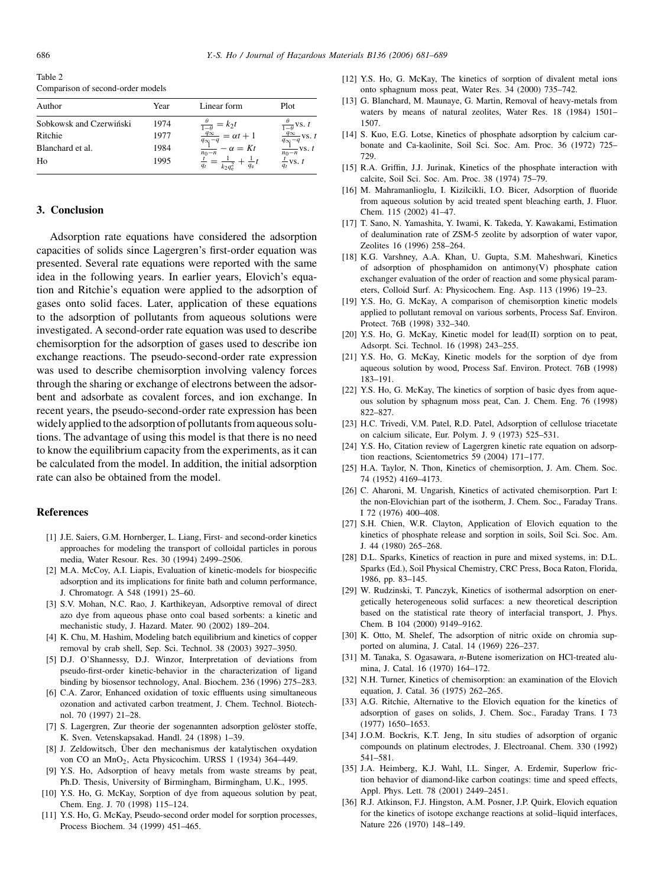<span id="page-5-0"></span>Table 2 Comparison of second-order models

| Author                                                       | Year                         | Linear form                                                                                                                                 | Plot                                                                                                                                             |
|--------------------------------------------------------------|------------------------------|---------------------------------------------------------------------------------------------------------------------------------------------|--------------------------------------------------------------------------------------------------------------------------------------------------|
| Sobkowsk and Czerwiński<br>Ritchie<br>Blanchard et al.<br>Ho | 1974<br>1977<br>1984<br>1995 | $\frac{\frac{\theta}{1-\theta}}{\frac{q_{\infty}}{q_{\infty}-q}} = \alpha t + 1$<br>$\alpha = Kt$<br>$n_0 - n$<br>$\frac{1}{q_e}t$<br>$q_t$ | $\frac{\frac{\sigma}{1-\theta}$ vs. t<br>$\frac{q_{\infty}}{1-\theta}$ vs. t<br>$q_{\infty}-q$<br>$\frac{1}{n_0-n}$ VS. t<br>$\frac{1}{x}$ vs. t |

# **3. Conclusion**

Adsorption rate equations have considered the adsorption capacities of solids since Lagergren's first-order equation was presented. Several rate equations were reported with the same idea in the following years. In earlier years, Elovich's equation and Ritchie's equation were applied to the adsorption of gases onto solid faces. Later, application of these equations to the adsorption of pollutants from aqueous solutions were investigated. A second-order rate equation was used to describe chemisorption for the adsorption of gases used to describe ion exchange reactions. The pseudo-second-order rate expression was used to describe chemisorption involving valency forces through the sharing or exchange of electrons between the adsorbent and adsorbate as covalent forces, and ion exchange. In recent years, the pseudo-second-order rate expression has been widely applied to the adsorption of pollutants from aqueous solutions. The advantage of using this model is that there is no need to know the equilibrium capacity from the experiments, as it can be calculated from the model. In addition, the initial adsorption rate can also be obtained from the model.

#### **References**

- [1] J.E. Saiers, G.M. Hornberger, L. Liang, First- and second-order kinetics approaches for modeling the transport of colloidal particles in porous media, Water Resour. Res. 30 (1994) 2499–2506.
- [2] M.A. McCoy, A.I. Liapis, Evaluation of kinetic-models for biospecific adsorption and its implications for finite bath and column performance, J. Chromatogr. A 548 (1991) 25–60.
- [3] S.V. Mohan, N.C. Rao, J. Karthikeyan, Adsorptive removal of direct azo dye from aqueous phase onto coal based sorbents: a kinetic and mechanistic study, J. Hazard. Mater. 90 (2002) 189–204.
- [4] K. Chu, M. Hashim, Modeling batch equilibrium and kinetics of copper removal by crab shell, Sep. Sci. Technol. 38 (2003) 3927–3950.
- [5] D.J. O'Shannessy, D.J. Winzor, Interpretation of deviations from pseudo-first-order kinetic-behavior in the characterization of ligand binding by biosensor technology, Anal. Biochem. 236 (1996) 275–283.
- [6] C.A. Zaror, Enhanced oxidation of toxic effluents using simultaneous ozonation and activated carbon treatment, J. Chem. Technol. Biotechnol. 70 (1997) 21–28.
- [7] S. Lagergren, Zur theorie der sogenannten adsorption gelöster stoffe, K. Sven. Vetenskapsakad. Handl. 24 (1898) 1–39.
- [8] J. Zeldowitsch, Über den mechanismus der katalytischen oxydation von CO an MnO2, Acta Physicochim. URSS 1 (1934) 364–449.
- [9] Y.S. Ho, Adsorption of heavy metals from waste streams by peat, Ph.D. Thesis, University of Birmingham, Birmingham, U.K., 1995.
- [10] Y.S. Ho, G. McKay, Sorption of dye from aqueous solution by peat, Chem. Eng. J. 70 (1998) 115–124.
- [11] Y.S. Ho, G. McKay, Pseudo-second order model for sorption processes, Process Biochem. 34 (1999) 451–465.
- [12] Y.S. Ho, G. McKay, The kinetics of sorption of divalent metal ions onto sphagnum moss peat, Water Res. 34 (2000) 735–742.
- [13] G. Blanchard, M. Maunaye, G. Martin, Removal of heavy-metals from waters by means of natural zeolites, Water Res. 18 (1984) 1501– 1507.
- [14] S. Kuo, E.G. Lotse, Kinetics of phosphate adsorption by calcium carbonate and Ca-kaolinite, Soil Sci. Soc. Am. Proc. 36 (1972) 725– 729.
- [15] R.A. Griffin, J.J. Jurinak, Kinetics of the phosphate interaction with calcite, Soil Sci. Soc. Am. Proc. 38 (1974) 75–79.
- [16] M. Mahramanlioglu, I. Kizilcikli, I.O. Bicer, Adsorption of fluoride from aqueous solution by acid treated spent bleaching earth, J. Fluor. Chem. 115 (2002) 41–47.
- [17] T. Sano, N. Yamashita, Y. Iwami, K. Takeda, Y. Kawakami, Estimation of dealumination rate of ZSM-5 zeolite by adsorption of water vapor, Zeolites 16 (1996) 258–264.
- [18] K.G. Varshney, A.A. Khan, U. Gupta, S.M. Maheshwari, Kinetics of adsorption of phosphamidon on antimony(V) phosphate cation exchanger evaluation of the order of reaction and some physical parameters, Colloid Surf. A: Physicochem. Eng. Asp. 113 (1996) 19–23.
- [19] Y.S. Ho, G. McKay, A comparison of chemisorption kinetic models applied to pollutant removal on various sorbents, Process Saf. Environ. Protect. 76B (1998) 332–340.
- [20] Y.S. Ho, G. McKay, Kinetic model for lead(II) sorption on to peat, Adsorpt. Sci. Technol. 16 (1998) 243–255.
- [21] Y.S. Ho, G. McKay, Kinetic models for the sorption of dye from aqueous solution by wood, Process Saf. Environ. Protect. 76B (1998) 183–191.
- [22] Y.S. Ho, G. McKay, The kinetics of sorption of basic dyes from aqueous solution by sphagnum moss peat, Can. J. Chem. Eng. 76 (1998) 822–827.
- [23] H.C. Trivedi, V.M. Patel, R.D. Patel, Adsorption of cellulose triacetate on calcium silicate, Eur. Polym. J. 9 (1973) 525–531.
- [24] Y.S. Ho, Citation review of Lagergren kinetic rate equation on adsorption reactions, Scientometrics 59 (2004) 171–177.
- [25] H.A. Taylor, N. Thon, Kinetics of chemisorption, J. Am. Chem. Soc. 74 (1952) 4169–4173.
- [26] C. Aharoni, M. Ungarish, Kinetics of activated chemisorption. Part I: the non-Elovichian part of the isotherm, J. Chem. Soc., Faraday Trans. I 72 (1976) 400–408.
- [27] S.H. Chien, W.R. Clayton, Application of Elovich equation to the kinetics of phosphate release and sorption in soils, Soil Sci. Soc. Am. J. 44 (1980) 265–268.
- [28] D.L. Sparks, Kinetics of reaction in pure and mixed systems, in: D.L. Sparks (Ed.), Soil Physical Chemistry, CRC Press, Boca Raton, Florida, 1986, pp. 83–145.
- [29] W. Rudzinski, T. Panczyk, Kinetics of isothermal adsorption on energetically heterogeneous solid surfaces: a new theoretical description based on the statistical rate theory of interfacial transport, J. Phys. Chem. B 104 (2000) 9149–9162.
- [30] K. Otto, M. Shelef, The adsorption of nitric oxide on chromia supported on alumina, J. Catal. 14 (1969) 226–237.
- [31] M. Tanaka, S. Ogasawara, *n*-Butene isomerization on HCl-treated alumina, J. Catal. 16 (1970) 164–172.
- [32] N.H. Turner, Kinetics of chemisorption: an examination of the Elovich equation, J. Catal. 36 (1975) 262–265.
- [33] A.G. Ritchie, Alternative to the Elovich equation for the kinetics of adsorption of gases on solids, J. Chem. Soc., Faraday Trans. I 73 (1977) 1650–1653.
- [34] J.O.M. Bockris, K.T. Jeng, In situ studies of adsorption of organic compounds on platinum electrodes, J. Electroanal. Chem. 330 (1992) 541–581.
- [35] J.A. Heimberg, K.J. Wahl, I.L. Singer, A. Erdemir, Superlow friction behavior of diamond-like carbon coatings: time and speed effects, Appl. Phys. Lett. 78 (2001) 2449–2451.
- [36] R.J. Atkinson, F.J. Hingston, A.M. Posner, J.P. Quirk, Elovich equation for the kinetics of isotope exchange reactions at solid–liquid interfaces, Nature 226 (1970) 148–149.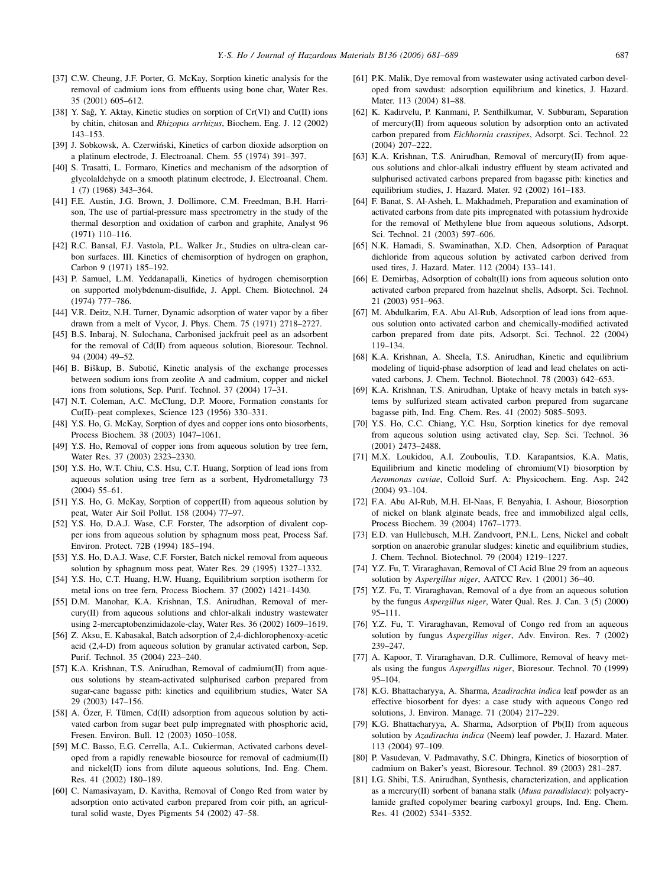- <span id="page-6-0"></span>[37] C.W. Cheung, J.F. Porter, G. McKay, Sorption kinetic analysis for the removal of cadmium ions from effluents using bone char, Water Res. 35 (2001) 605–612.
- [38] Y. Sağ, Y. Aktay, Kinetic studies on sorption of Cr(VI) and Cu(II) ions by chitin, chitosan and *Rhizopus arrhizus*, Biochem. Eng. J. 12 (2002) 143–153.
- [39] J. Sobkowsk, A. Czerwiński, Kinetics of carbon dioxide adsorption on a platinum electrode, J. Electroanal. Chem. 55 (1974) 391–397.
- [40] S. Trasatti, L. Formaro, Kinetics and mechanism of the adsorption of glycolaldehyde on a smooth platinum electrode, J. Electroanal. Chem. 1 (7) (1968) 343–364.
- [41] F.E. Austin, J.G. Brown, J. Dollimore, C.M. Freedman, B.H. Harrison, The use of partial-pressure mass spectrometry in the study of the thermal desorption and oxidation of carbon and graphite, Analyst 96 (1971) 110–116.
- [42] R.C. Bansal, F.J. Vastola, P.L. Walker Jr., Studies on ultra-clean carbon surfaces. III. Kinetics of chemisorption of hydrogen on graphon, Carbon 9 (1971) 185–192.
- [43] P. Samuel, L.M. Yeddanapalli, Kinetics of hydrogen chemisorption on supported molybdenum-disulfide, J. Appl. Chem. Biotechnol. 24 (1974) 777–786.
- [44] V.R. Deitz, N.H. Turner, Dynamic adsorption of water vapor by a fiber drawn from a melt of Vycor, J. Phys. Chem. 75 (1971) 2718–2727.
- [45] B.S. Inbaraj, N. Sulochana, Carbonised jackfruit peel as an adsorbent for the removal of Cd(II) from aqueous solution, Bioresour. Technol. 94 (2004) 49–52.
- [46] B. Biškup, B. Subotić, Kinetic analysis of the exchange processes between sodium ions from zeolite A and cadmium, copper and nickel ions from solutions, Sep. Purif. Technol. 37 (2004) 17–31.
- [47] N.T. Coleman, A.C. McClung, D.P. Moore, Formation constants for Cu(II)–peat complexes, Science 123 (1956) 330–331.
- [48] Y.S. Ho, G. McKay, Sorption of dyes and copper ions onto biosorbents, Process Biochem. 38 (2003) 1047–1061.
- [49] Y.S. Ho, Removal of copper ions from aqueous solution by tree fern, Water Res. 37 (2003) 2323–2330.
- [50] Y.S. Ho, W.T. Chiu, C.S. Hsu, C.T. Huang, Sorption of lead ions from aqueous solution using tree fern as a sorbent, Hydrometallurgy 73 (2004) 55–61.
- [51] Y.S. Ho, G. McKay, Sorption of copper(II) from aqueous solution by peat, Water Air Soil Pollut. 158 (2004) 77–97.
- [52] Y.S. Ho, D.A.J. Wase, C.F. Forster, The adsorption of divalent copper ions from aqueous solution by sphagnum moss peat, Process Saf. Environ. Protect. 72B (1994) 185–194.
- [53] Y.S. Ho, D.A.J. Wase, C.F. Forster, Batch nickel removal from aqueous solution by sphagnum moss peat, Water Res. 29 (1995) 1327–1332.
- [54] Y.S. Ho, C.T. Huang, H.W. Huang, Equilibrium sorption isotherm for metal ions on tree fern, Process Biochem. 37 (2002) 1421–1430.
- [55] D.M. Manohar, K.A. Krishnan, T.S. Anirudhan, Removal of mercury(II) from aqueous solutions and chlor-alkali industry wastewater using 2-mercaptobenzimidazole-clay, Water Res. 36 (2002) 1609–1619.
- [56] Z. Aksu, E. Kabasakal, Batch adsorption of 2,4-dichlorophenoxy-acetic acid (2,4-D) from aqueous solution by granular activated carbon, Sep. Purif. Technol. 35 (2004) 223–240.
- [57] K.A. Krishnan, T.S. Anirudhan, Removal of cadmium(II) from aqueous solutions by steam-activated sulphurised carbon prepared from sugar-cane bagasse pith: kinetics and equilibrium studies, Water SA 29 (2003) 147–156.
- [58] A. Özer, F. Tümen, Cd(II) adsorption from aqueous solution by activated carbon from sugar beet pulp impregnated with phosphoric acid, Fresen. Environ. Bull. 12 (2003) 1050–1058.
- [59] M.C. Basso, E.G. Cerrella, A.L. Cukierman, Activated carbons developed from a rapidly renewable biosource for removal of cadmium(II) and nickel(II) ions from dilute aqueous solutions, Ind. Eng. Chem. Res. 41 (2002) 180–189.
- [60] C. Namasivayam, D. Kavitha, Removal of Congo Red from water by adsorption onto activated carbon prepared from coir pith, an agricultural solid waste, Dyes Pigments 54 (2002) 47–58.
- [61] P.K. Malik, Dye removal from wastewater using activated carbon developed from sawdust: adsorption equilibrium and kinetics, J. Hazard. Mater. 113 (2004) 81–88.
- [62] K. Kadirvelu, P. Kanmani, P. Senthilkumar, V. Subburam, Separation of mercury(II) from aqueous solution by adsorption onto an activated carbon prepared from *Eichhornia crassipes*, Adsorpt. Sci. Technol. 22 (2004) 207–222.
- [63] K.A. Krishnan, T.S. Anirudhan, Removal of mercury(II) from aqueous solutions and chlor-alkali industry effluent by steam activated and sulphurised activated carbons prepared from bagasse pith: kinetics and equilibrium studies, J. Hazard. Mater. 92 (2002) 161–183.
- [64] F. Banat, S. Al-Asheh, L. Makhadmeh, Preparation and examination of activated carbons from date pits impregnated with potassium hydroxide for the removal of Methylene blue from aqueous solutions, Adsorpt. Sci. Technol. 21 (2003) 597–606.
- [65] N.K. Hamadi, S. Swaminathan, X.D. Chen, Adsorption of Paraquat dichloride from aqueous solution by activated carbon derived from used tires, J. Hazard. Mater. 112 (2004) 133–141.
- [66] E. Demirbaş, Adsorption of cobalt(II) ions from aqueous solution onto activated carbon prepared from hazelnut shells, Adsorpt. Sci. Technol. 21 (2003) 951–963.
- [67] M. Abdulkarim, F.A. Abu Al-Rub, Adsorption of lead ions from aqueous solution onto activated carbon and chemically-modified activated carbon prepared from date pits, Adsorpt. Sci. Technol. 22 (2004) 119–134.
- [68] K.A. Krishnan, A. Sheela, T.S. Anirudhan, Kinetic and equilibrium modeling of liquid-phase adsorption of lead and lead chelates on activated carbons, J. Chem. Technol. Biotechnol. 78 (2003) 642–653.
- [69] K.A. Krishnan, T.S. Anirudhan, Uptake of heavy metals in batch systems by sulfurized steam activated carbon prepared from sugarcane bagasse pith, Ind. Eng. Chem. Res. 41 (2002) 5085–5093.
- [70] Y.S. Ho, C.C. Chiang, Y.C. Hsu, Sorption kinetics for dye removal from aqueous solution using activated clay, Sep. Sci. Technol. 36 (2001) 2473–2488.
- [71] M.X. Loukidou, A.I. Zouboulis, T.D. Karapantsios, K.A. Matis, Equilibrium and kinetic modeling of chromium(VI) biosorption by *Aeromonas caviae*, Colloid Surf. A: Physicochem. Eng. Asp. 242 (2004) 93–104.
- [72] F.A. Abu Al-Rub, M.H. El-Naas, F. Benyahia, I. Ashour, Biosorption of nickel on blank alginate beads, free and immobilized algal cells, Process Biochem. 39 (2004) 1767–1773.
- [73] E.D. van Hullebusch, M.H. Zandvoort, P.N.L. Lens, Nickel and cobalt sorption on anaerobic granular sludges: kinetic and equilibrium studies, J. Chem. Technol. Biotechnol. 79 (2004) 1219–1227.
- [74] Y.Z. Fu, T. Viraraghavan, Removal of CI Acid Blue 29 from an aqueous solution by *Aspergillus niger*, AATCC Rev. 1 (2001) 36–40.
- [75] Y.Z. Fu, T. Viraraghavan, Removal of a dye from an aqueous solution by the fungus *Aspergillus niger*, Water Qual. Res. J. Can. 3 (5) (2000) 95–111.
- [76] Y.Z. Fu, T. Viraraghavan, Removal of Congo red from an aqueous solution by fungus *Aspergillus niger*, Adv. Environ. Res. 7 (2002) 239–247.
- [77] A. Kapoor, T. Viraraghavan, D.R. Cullimore, Removal of heavy metals using the fungus *Aspergillus niger*, Bioresour. Technol. 70 (1999) 95–104.
- [78] K.G. Bhattacharyya, A. Sharma, *Azadirachta indica* leaf powder as an effective biosorbent for dyes: a case study with aqueous Congo red solutions, J. Environ. Manage. 71 (2004) 217–229.
- [79] K.G. Bhattacharyya, A. Sharma, Adsorption of Pb(II) from aqueous solution by *Azadirachta indica* (Neem) leaf powder, J. Hazard. Mater. 113 (2004) 97–109.
- [80] P. Vasudevan, V. Padmavathy, S.C. Dhingra, Kinetics of biosorption of cadmium on Baker's yeast, Bioresour. Technol. 89 (2003) 281–287.
- [81] I.G. Shibi, T.S. Anirudhan, Synthesis, characterization, and application as a mercury(II) sorbent of banana stalk (*Musa paradisiaca*): polyacrylamide grafted copolymer bearing carboxyl groups, Ind. Eng. Chem. Res. 41 (2002) 5341–5352.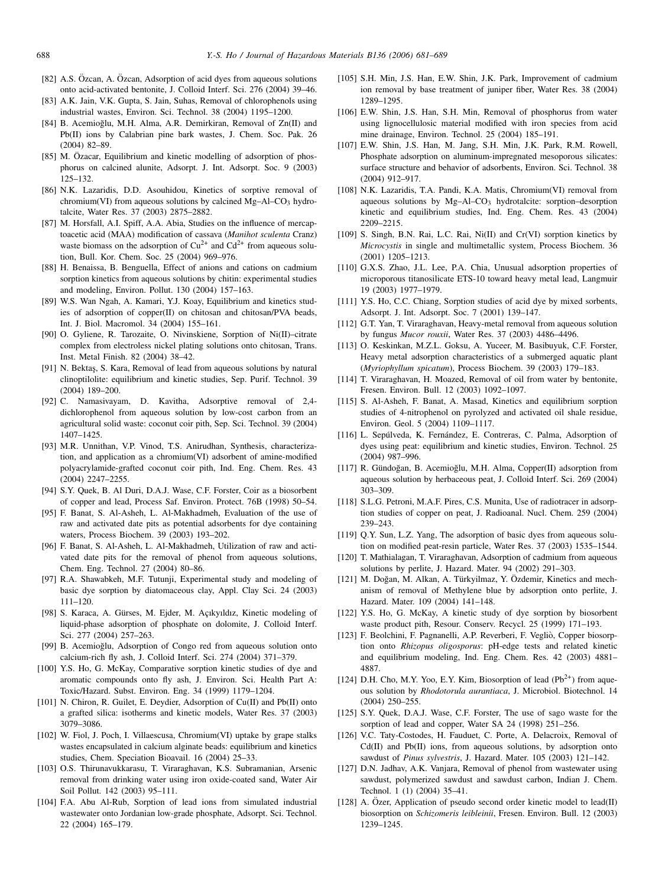- <span id="page-7-0"></span>[82] A.S. Özcan, A. Özcan, Adsorption of acid dyes from aqueous solutions onto acid-activated bentonite, J. Colloid Interf. Sci. 276 (2004) 39–46.
- [83] A.K. Jain, V.K. Gupta, S. Jain, Suhas, Removal of chlorophenols using industrial wastes, Environ. Sci. Technol. 38 (2004) 1195–1200.
- [84] B. Acemioğlu, M.H. Alma, A.R. Demirkiran, Removal of Zn(II) and Pb(II) ions by Calabrian pine bark wastes, J. Chem. Soc. Pak. 26 (2004) 82–89.
- [85] M. Özacar, Equilibrium and kinetic modelling of adsorption of phosphorus on calcined alunite, Adsorpt. J. Int. Adsorpt. Soc. 9 (2003) 125–132.
- [86] N.K. Lazaridis, D.D. Asouhidou, Kinetics of sorptive removal of chromium(VI) from aqueous solutions by calcined  $Mg-AI-CO<sub>3</sub>$  hydrotalcite, Water Res. 37 (2003) 2875–2882.
- [87] M. Horsfall, A.I. Spiff, A.A. Abia, Studies on the influence of mercaptoacetic acid (MAA) modification of cassava (*Manihot sculenta* Cranz) waste biomass on the adsorption of  $Cu^{2+}$  and  $Cd^{2+}$  from aqueous solution, Bull. Kor. Chem. Soc. 25 (2004) 969–976.
- [88] H. Benaissa, B. Benguella, Effect of anions and cations on cadmium sorption kinetics from aqueous solutions by chitin: experimental studies and modeling, Environ. Pollut. 130 (2004) 157–163.
- [89] W.S. Wan Ngah, A. Kamari, Y.J. Koay, Equilibrium and kinetics studies of adsorption of copper(II) on chitosan and chitosan/PVA beads, Int. J. Biol. Macromol. 34 (2004) 155–161.
- [90] O. Gyliene, R. Tarozaite, O. Nivinskiene, Sorption of Ni(II)–citrate complex from electroless nickel plating solutions onto chitosan, Trans. Inst. Metal Finish. 82 (2004) 38–42.
- [91] N. Bektaş, S. Kara, Removal of lead from aqueous solutions by natural clinoptilolite: equilibrium and kinetic studies, Sep. Purif. Technol. 39 (2004) 189–200.
- [92] C. Namasivayam, D. Kavitha, Adsorptive removal of 2,4 dichlorophenol from aqueous solution by low-cost carbon from an agricultural solid waste: coconut coir pith, Sep. Sci. Technol. 39 (2004) 1407–1425.
- [93] M.R. Unnithan, V.P. Vinod, T.S. Anirudhan, Synthesis, characterization, and application as a chromium(VI) adsorbent of amine-modified polyacrylamide-grafted coconut coir pith, Ind. Eng. Chem. Res. 43 (2004) 2247–2255.
- [94] S.Y. Quek, B. Al Duri, D.A.J. Wase, C.F. Forster, Coir as a biosorbent of copper and lead, Process Saf. Environ. Protect. 76B (1998) 50–54.
- [95] F. Banat, S. Al-Asheh, L. Al-Makhadmeh, Evaluation of the use of raw and activated date pits as potential adsorbents for dye containing waters, Process Biochem. 39 (2003) 193–202.
- [96] F. Banat, S. Al-Asheh, L. Al-Makhadmeh, Utilization of raw and activated date pits for the removal of phenol from aqueous solutions, Chem. Eng. Technol. 27 (2004) 80–86.
- [97] R.A. Shawabkeh, M.F. Tutunji, Experimental study and modeling of basic dye sorption by diatomaceous clay, Appl. Clay Sci. 24 (2003) 111–120.
- [98] S. Karaca, A. Gürses, M. Eider, M. Acıkvıldız, Kinetic modeling of liquid-phase adsorption of phosphate on dolomite, J. Colloid Interf. Sci. 277 (2004) 257–263.
- [99] B. Acemioğlu, Adsorption of Congo red from aqueous solution onto calcium-rich fly ash, J. Colloid Interf. Sci. 274 (2004) 371–379.
- [100] Y.S. Ho, G. McKay, Comparative sorption kinetic studies of dye and aromatic compounds onto fly ash, J. Environ. Sci. Health Part A: Toxic/Hazard. Subst. Environ. Eng. 34 (1999) 1179–1204.
- [101] N. Chiron, R. Guilet, E. Deydier, Adsorption of Cu(II) and Pb(II) onto a grafted silica: isotherms and kinetic models, Water Res. 37 (2003) 3079–3086.
- [102] W. Fiol, J. Poch, I. Villaescusa, Chromium(VI) uptake by grape stalks wastes encapsulated in calcium alginate beads: equilibrium and kinetics studies, Chem. Speciation Bioavail. 16 (2004) 25–33.
- [103] O.S. Thirunavukkarasu, T. Viraraghavan, K.S. Subramanian, Arsenic removal from drinking water using iron oxide-coated sand, Water Air Soil Pollut. 142 (2003) 95–111.
- [104] F.A. Abu Al-Rub, Sorption of lead ions from simulated industrial wastewater onto Jordanian low-grade phosphate, Adsorpt. Sci. Technol. 22 (2004) 165–179.
- [105] S.H. Min, J.S. Han, E.W. Shin, J.K. Park, Improvement of cadmium ion removal by base treatment of juniper fiber, Water Res. 38 (2004) 1289–1295.
- [106] E.W. Shin, J.S. Han, S.H. Min, Removal of phosphorus from water using lignocellulosic material modified with iron species from acid mine drainage, Environ. Technol. 25 (2004) 185–191.
- [107] E.W. Shin, J.S. Han, M. Jang, S.H. Min, J.K. Park, R.M. Rowell, Phosphate adsorption on aluminum-impregnated mesoporous silicates: surface structure and behavior of adsorbents, Environ. Sci. Technol. 38 (2004) 912–917.
- [108] N.K. Lazaridis, T.A. Pandi, K.A. Matis, Chromium(VI) removal from aqueous solutions by  $Mg-AI-CO<sub>3</sub>$  hydrotalcite: sorption–desorption kinetic and equilibrium studies, Ind. Eng. Chem. Res. 43 (2004) 2209–2215.
- [109] S. Singh, B.N. Rai, L.C. Rai, Ni(II) and Cr(VI) sorption kinetics by *Microcystis* in single and multimetallic system, Process Biochem. 36 (2001) 1205–1213.
- [110] G.X.S. Zhao, J.L. Lee, P.A. Chia, Unusual adsorption properties of microporous titanosilicate ETS-10 toward heavy metal lead, Langmuir 19 (2003) 1977–1979.
- [111] Y.S. Ho, C.C. Chiang, Sorption studies of acid dye by mixed sorbents, Adsorpt. J. Int. Adsorpt. Soc. 7 (2001) 139–147.
- [112] G.T. Yan, T. Viraraghavan, Heavy-metal removal from aqueous solution by fungus *Mucor rouxii*, Water Res. 37 (2003) 4486–4496.
- [113] O. Keskinkan, M.Z.L. Goksu, A. Yuceer, M. Basibuyuk, C.F. Forster, Heavy metal adsorption characteristics of a submerged aquatic plant (*Myriophyllum spicatum*), Process Biochem. 39 (2003) 179–183.
- [114] T. Viraraghavan, H. Moazed, Removal of oil from water by bentonite, Fresen. Environ. Bull. 12 (2003) 1092–1097.
- [115] S. Al-Asheh, F. Banat, A. Masad, Kinetics and equilibrium sorption studies of 4-nitrophenol on pyrolyzed and activated oil shale residue, Environ. Geol. 5 (2004) 1109–1117.
- [116] L. Sepúlveda, K. Fernández, E. Contreras, C. Palma, Adsorption of dyes using peat: equilibrium and kinetic studies, Environ. Technol. 25 (2004) 987–996.
- $[117]$  R. Gündoğan, B. Acemioğlu, M.H. Alma, Copper(II) adsorption from aqueous solution by herbaceous peat, J. Colloid Interf. Sci. 269 (2004) 303–309.
- [118] S.L.G. Petroni, M.A.F. Pires, C.S. Munita, Use of radiotracer in adsorption studies of copper on peat, J. Radioanal. Nucl. Chem. 259 (2004) 239–243.
- [119] Q.Y. Sun, L.Z. Yang, The adsorption of basic dyes from aqueous solution on modified peat-resin particle, Water Res. 37 (2003) 1535–1544.
- [120] T. Mathialagan, T. Viraraghavan, Adsorption of cadmium from aqueous solutions by perlite, J. Hazard. Mater. 94 (2002) 291–303.
- [121] M. Doğan, M. Alkan, A. Türkyilmaz, Y. Özdemir, Kinetics and mechanism of removal of Methylene blue by adsorption onto perlite, J. Hazard. Mater. 109 (2004) 141–148.
- [122] Y.S. Ho, G. McKay, A kinetic study of dye sorption by biosorbent waste product pith, Resour. Conserv. Recycl. 25 (1999) 171–193.
- [123] F. Beolchini, F. Pagnanelli, A.P. Reverberi, F. Vegliò, Copper biosorption onto *Rhizopus oligosporus*: pH-edge tests and related kinetic and equilibrium modeling, Ind. Eng. Chem. Res. 42 (2003) 4881– 4887.
- [124] D.H. Cho, M.Y. Yoo, E.Y. Kim, Biosorption of lead  $(Pb^{2+})$  from aqueous solution by *Rhodotorula aurantiaca*, J. Microbiol. Biotechnol. 14 (2004) 250–255.
- [125] S.Y. Quek, D.A.J. Wase, C.F. Forster, The use of sago waste for the sorption of lead and copper, Water SA 24 (1998) 251–256.
- [126] V.C. Taty-Costodes, H. Fauduet, C. Porte, A. Delacroix, Removal of Cd(II) and Pb(II) ions, from aqueous solutions, by adsorption onto sawdust of *Pinus sylvestris*, J. Hazard. Mater. 105 (2003) 121–142.
- [127] D.N. Jadhav, A.K. Vanjara, Removal of phenol from wastewater using sawdust, polymerized sawdust and sawdust carbon, Indian J. Chem. Technol. 1 (1) (2004) 35–41.
- [128] A. Özer, Application of pseudo second order kinetic model to lead(II) biosorption on *Schizomeris leibleinii*, Fresen. Environ. Bull. 12 (2003) 1239–1245.